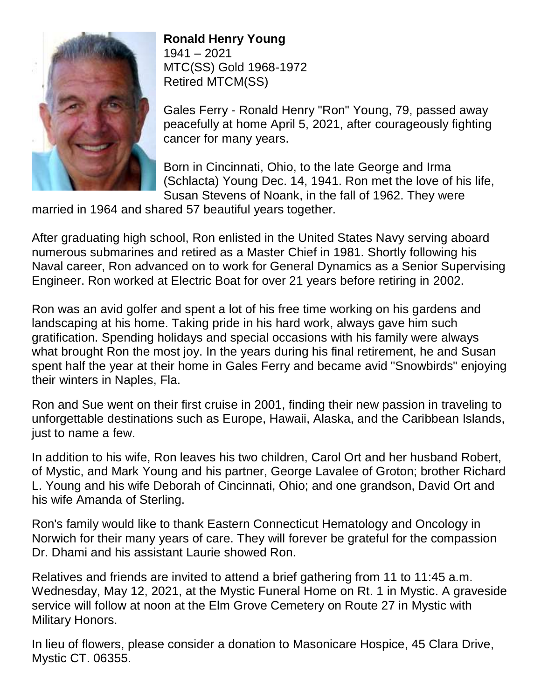

## **Ronald Henry Young**

1941 – 2021 MTC(SS) Gold 1968-1972 Retired MTCM(SS)

Gales Ferry - Ronald Henry "Ron" Young, 79, passed away peacefully at home April 5, 2021, after courageously fighting cancer for many years.

Born in Cincinnati, Ohio, to the late George and Irma (Schlacta) Young Dec. 14, 1941. Ron met the love of his life, Susan Stevens of Noank, in the fall of 1962. They were

married in 1964 and shared 57 beautiful years together.

After graduating high school, Ron enlisted in the United States Navy serving aboard numerous submarines and retired as a Master Chief in 1981. Shortly following his Naval career, Ron advanced on to work for General Dynamics as a Senior Supervising Engineer. Ron worked at Electric Boat for over 21 years before retiring in 2002.

Ron was an avid golfer and spent a lot of his free time working on his gardens and landscaping at his home. Taking pride in his hard work, always gave him such gratification. Spending holidays and special occasions with his family were always what brought Ron the most joy. In the years during his final retirement, he and Susan spent half the year at their home in Gales Ferry and became avid "Snowbirds" enjoying their winters in Naples, Fla.

Ron and Sue went on their first cruise in 2001, finding their new passion in traveling to unforgettable destinations such as Europe, Hawaii, Alaska, and the Caribbean Islands, just to name a few.

In addition to his wife, Ron leaves his two children, Carol Ort and her husband Robert, of Mystic, and Mark Young and his partner, George Lavalee of Groton; brother Richard L. Young and his wife Deborah of Cincinnati, Ohio; and one grandson, David Ort and his wife Amanda of Sterling.

Ron's family would like to thank Eastern Connecticut Hematology and Oncology in Norwich for their many years of care. They will forever be grateful for the compassion Dr. Dhami and his assistant Laurie showed Ron.

Relatives and friends are invited to attend a brief gathering from 11 to 11:45 a.m. Wednesday, May 12, 2021, at the Mystic Funeral Home on Rt. 1 in Mystic. A graveside service will follow at noon at the Elm Grove Cemetery on Route 27 in Mystic with Military Honors.

In lieu of flowers, please consider a donation to Masonicare Hospice, 45 Clara Drive, Mystic CT. 06355.